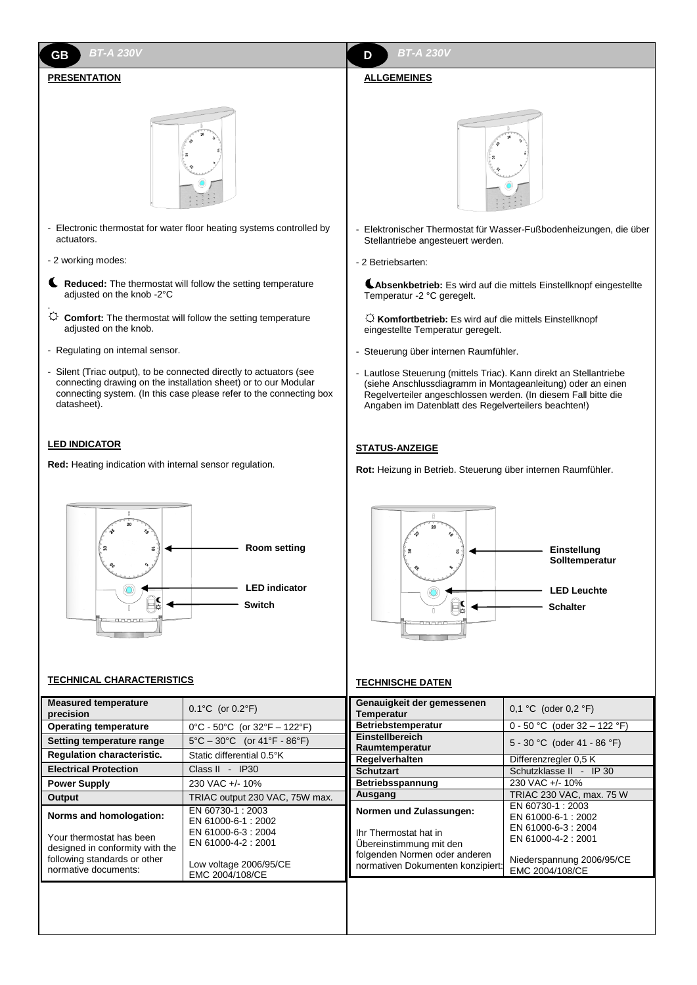### *BT-A 230V* **GB D** *BT-A 230V*

# **PRESENTATION**



- Electronic thermostat for water floor heating systems controlled by actuators.
- 2 working modes:
- **Reduced:** The thermostat will follow the setting temperature adjusted on the knob -2°C .
- $\circled{C}$  **Comfort:** The thermostat will follow the setting temperature adjusted on the knob.
- Regulating on internal sensor.
- Silent (Triac output), to be connected directly to actuators (see connecting drawing on the installation sheet) or to our Modular connecting system. (In this case please refer to the connecting box datasheet).

# **LED INDICATOR**

**Red:** Heating indication with internal sensor regulation.



# **TECHNICAL CHARACTERISTICS**

|                                                                                                                                                |                                                                                                                                 | יום ומשפחים שמונוסם                                                                                                                               |                                                                                                                                    |
|------------------------------------------------------------------------------------------------------------------------------------------------|---------------------------------------------------------------------------------------------------------------------------------|---------------------------------------------------------------------------------------------------------------------------------------------------|------------------------------------------------------------------------------------------------------------------------------------|
| <b>Measured temperature</b><br>precision                                                                                                       | $0.1^{\circ}$ C (or $0.2^{\circ}$ F)                                                                                            | Genauigkeit der gemessenen<br>Temperatur                                                                                                          | 0,1 °C (oder $0,2$ °F)                                                                                                             |
| <b>Operating temperature</b>                                                                                                                   | $0^{\circ}$ C - 50 $^{\circ}$ C (or 32 $^{\circ}$ F - 122 $^{\circ}$ F)                                                         | <b>Betriebstemperatur</b>                                                                                                                         | 0 - 50 °C (oder 32 - 122 °F)                                                                                                       |
| Setting temperature range                                                                                                                      | $5^{\circ}$ C – 30 $^{\circ}$ C (or 41 $^{\circ}$ F - 86 $^{\circ}$ F)                                                          | Einstellbereich<br>Raumtemperatur                                                                                                                 | 5 - 30 °C (oder 41 - 86 °F)                                                                                                        |
| <b>Regulation characteristic.</b>                                                                                                              | Static differential 0.5°K                                                                                                       | Regelverhalten                                                                                                                                    | Differenzregler 0.5 K                                                                                                              |
| <b>Electrical Protection</b>                                                                                                                   | Class II - IP30                                                                                                                 | <b>Schutzart</b>                                                                                                                                  | Schutzklasse II - IP 30                                                                                                            |
| <b>Power Supply</b>                                                                                                                            | 230 VAC +/- 10%                                                                                                                 | Betriebsspannung                                                                                                                                  | 230 VAC +/- 10%                                                                                                                    |
| Output                                                                                                                                         | TRIAC output 230 VAC, 75W max.                                                                                                  | Ausgang                                                                                                                                           | TRIAC 230 VAC, max. 75 W                                                                                                           |
| Norms and homologation:<br>Your thermostat has been<br>designed in conformity with the<br>following standards or other<br>normative documents: | EN 60730-1: 2003<br>EN 61000-6-1: 2002<br>EN 61000-6-3: 2004<br>EN 61000-4-2: 2001<br>Low voltage 2006/95/CE<br>EMC 2004/108/CE | Normen und Zulassungen:<br>Ihr Thermostat hat in<br>Ubereinstimmung mit den<br>folgenden Normen oder anderen<br>normativen Dokumenten konzipiert: | EN 60730-1: 2003<br>EN 61000-6-1: 2002<br>EN 61000-6-3: 2004<br>EN 61000-4-2: 2001<br>Niederspannung 2006/95/CE<br>EMC 2004/108/CE |
|                                                                                                                                                |                                                                                                                                 |                                                                                                                                                   |                                                                                                                                    |

# **ALLGEMEINES**



- Elektronischer Thermostat für Wasser-Fußbodenheizungen, die über Stellantriebe angesteuert werden.
- 2 Betriebsarten:
- **Absenkbetrieb:** Es wird auf die mittels Einstellknopf eingestellte Temperatur -2 °C geregelt.
- **Komfortbetrieb:** Es wird auf die mittels Einstellknopf eingestellte Temperatur geregelt.
- Steuerung über internen Raumfühler.
- Lautlose Steuerung (mittels Triac). Kann direkt an Stellantriebe (siehe Anschlussdiagramm in Montageanleitung) oder an einen Regelverteiler angeschlossen werden. (In diesem Fall bitte die Angaben im Datenblatt des Regelverteilers beachten!)

## **STATUS-ANZEIGE**

**Rot:** Heizung in Betrieb. Steuerung über internen Raumfühler.



# **TECHNISCHE DATEN**